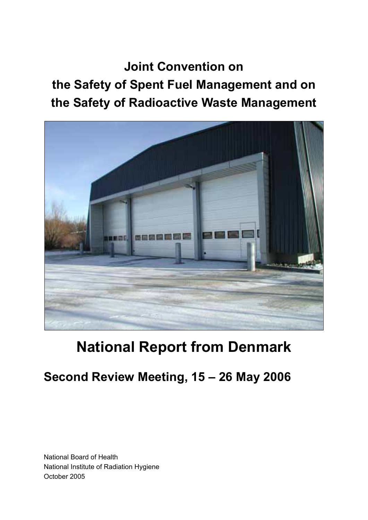**Joint Convention on the Safety of Spent Fuel Management and on the Safety of Radioactive Waste Management**



# **National Report from Denmark**

## **Second Review Meeting, 15 – 26 May 2006**

National Board of Health National Institute of Radiation Hygiene October 2005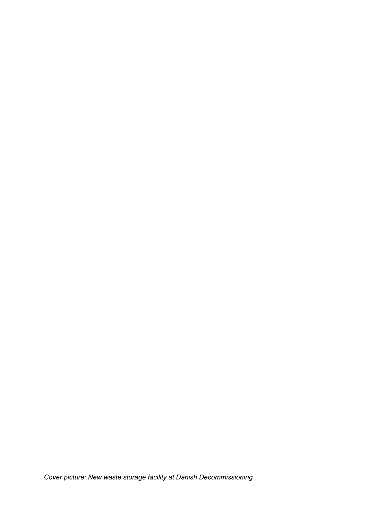*Cover picture: New waste storage facility at Danish Decommissioning*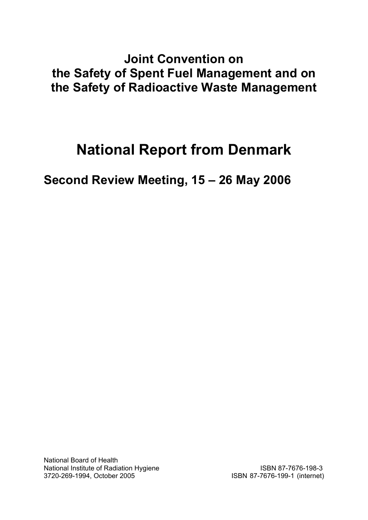## **Joint Convention on the Safety of Spent Fuel Management and on the Safety of Radioactive Waste Management**

# **National Report from Denmark**

**Second Review Meeting, 15 – 26 May 2006** 

National Board of Health National Institute of Radiation Hygiene ISBN 87-7676-198-3 3720-269-1994, October 2005 ISBN 87-7676-199-1 (internet)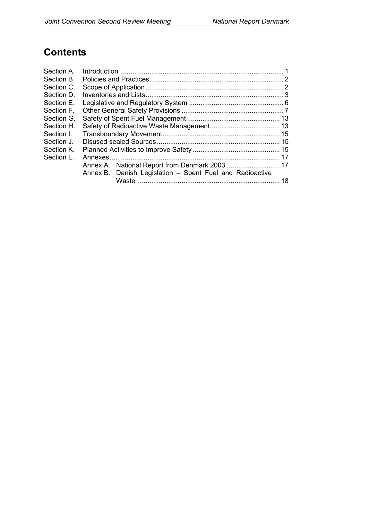### **Contents**

| Section A. |  |                                                          |    |
|------------|--|----------------------------------------------------------|----|
| Section B. |  |                                                          |    |
| Section C. |  |                                                          |    |
| Section D. |  |                                                          |    |
| Section E. |  |                                                          |    |
| Section F. |  |                                                          |    |
| Section G. |  |                                                          |    |
| Section H. |  |                                                          |    |
| Section I. |  |                                                          |    |
| Section J. |  |                                                          |    |
| Section K. |  |                                                          |    |
| Section L. |  |                                                          |    |
|            |  |                                                          |    |
|            |  | Annex B. Danish Legislation - Spent Fuel and Radioactive |    |
|            |  |                                                          | 18 |
|            |  |                                                          |    |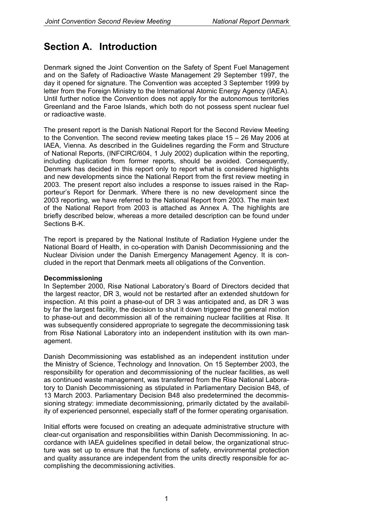### **Section A. Introduction**

Denmark signed the Joint Convention on the Safety of Spent Fuel Management and on the Safety of Radioactive Waste Management 29 September 1997, the day it opened for signature. The Convention was accepted 3 September 1999 by letter from the Foreign Ministry to the International Atomic Energy Agency (IAEA). Until further notice the Convention does not apply for the autonomous territories Greenland and the Faroe Islands, which both do not possess spent nuclear fuel or radioactive waste.

The present report is the Danish National Report for the Second Review Meeting to the Convention. The second review meeting takes place 15 – 26 May 2006 at IAEA, Vienna. As described in the Guidelines regarding the Form and Structure of National Reports, (INFCIRC/604, 1 July 2002) duplication within the reporting, including duplication from former reports, should be avoided. Consequently, Denmark has decided in this report only to report what is considered highlights and new developments since the National Report from the first review meeting in 2003. The present report also includes a response to issues raised in the Rapporteur's Report for Denmark. Where there is no new development since the 2003 reporting, we have referred to the National Report from 2003. The main text of the National Report from 2003 is attached as Annex A. The highlights are briefly described below, whereas a more detailed description can be found under Sections B-K.

The report is prepared by the National Institute of Radiation Hygiene under the National Board of Health, in co-operation with Danish Decommissioning and the Nuclear Division under the Danish Emergency Management Agency. It is concluded in the report that Denmark meets all obligations of the Convention.

#### **Decommissioning**

In September 2000, Risø National Laboratory's Board of Directors decided that the largest reactor, DR 3, would not be restarted after an extended shutdown for inspection. At this point a phase-out of DR 3 was anticipated and, as DR 3 was by far the largest facility, the decision to shut it down triggered the general motion to phase-out and decommission all of the remaining nuclear facilities at Risø. It was subsequently considered appropriate to segregate the decommissioning task from Risø National Laboratory into an independent institution with its own management.

Danish Decommissioning was established as an independent institution under the Ministry of Science, Technology and Innovation. On 15 September 2003, the responsibility for operation and decommissioning of the nuclear facilities, as well as continued waste management, was transferred from the Risø National Laboratory to Danish Decommissioning as stipulated in Parliamentary Decision B48, of 13 March 2003. Parliamentary Decision B48 also predetermined the decommissioning strategy: immediate decommissioning, primarily dictated by the availability of experienced personnel, especially staff of the former operating organisation.

Initial efforts were focused on creating an adequate administrative structure with clear-cut organisation and responsibilities within Danish Decommissioning. In accordance with IAEA guidelines specified in detail below, the organizational structure was set up to ensure that the functions of safety, environmental protection and quality assurance are independent from the units directly responsible for accomplishing the decommissioning activities.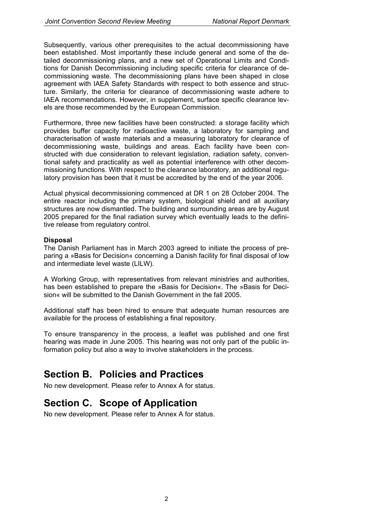Subsequently, various other prerequisites to the actual decommissioning have been established. Most importantly these include general and some of the detailed decommissioning plans, and a new set of Operational Limits and Conditions for Danish Decommissioning including specific criteria for clearance of decommissioning waste. The decommissioning plans have been shaped in close agreement with IAEA Safety Standards with respect to both essence and structure. Similarly, the criteria for clearance of decommissioning waste adhere to IAEA recommendations. However, in supplement, surface specific clearance levels are those recommended by the European Commission.

Furthermore, three new facilities have been constructed: a storage facility which provides buffer capacity for radioactive waste, a laboratory for sampling and characterisation of waste materials and a measuring laboratory for clearance of decommissioning waste, buildings and areas. Each facility have been constructed with due consideration to relevant legislation, radiation safety, conventional safety and practicality as well as potential interference with other decommissioning functions. With respect to the clearance laboratory, an additional regulatory provision has been that it must be accredited by the end of the year 2006.

Actual physical decommissioning commenced at DR 1 on 28 October 2004. The entire reactor including the primary system, biological shield and all auxiliary structures are now dismantled. The building and surrounding areas are by August 2005 prepared for the final radiation survey which eventually leads to the definitive release from regulatory control.

#### **Disposal**

The Danish Parliament has in March 2003 agreed to initiate the process of preparing a »Basis for Decision« concerning a Danish facility for final disposal of low and intermediate level waste (LILW).

A Working Group, with representatives from relevant ministries and authorities, has been established to prepare the »Basis for Decision«. The »Basis for Decision« will be submitted to the Danish Government in the fall 2005.

Additional staff has been hired to ensure that adequate human resources are available for the process of establishing a final repository.

To ensure transparency in the process, a leaflet was published and one first hearing was made in June 2005. This hearing was not only part of the public information policy but also a way to involve stakeholders in the process.

### **Section B. Policies and Practices**

No new development. Please refer to Annex A for status.

### **Section C. Scope of Application**

No new development. Please refer to Annex A for status.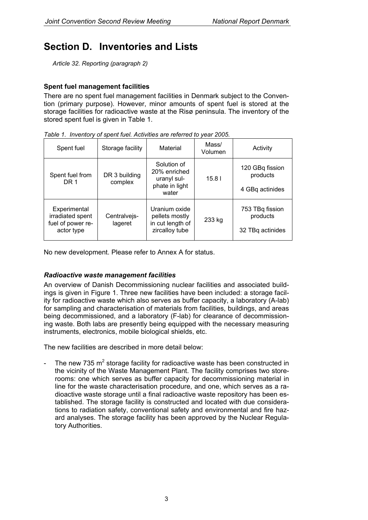### **Section D. Inventories and Lists**

*Article 32. Reporting (paragraph 2)* 

### **Spent fuel management facilities**

There are no spent fuel management facilities in Denmark subject to the Convention (primary purpose). However, minor amounts of spent fuel is stored at the storage facilities for radioactive waste at the Risø peninsula. The inventory of the stored spent fuel is given in Table 1.

| Spent fuel                                                          | Storage facility         | Material                                                              | Mass/<br>Volumen | Activity                                        |
|---------------------------------------------------------------------|--------------------------|-----------------------------------------------------------------------|------------------|-------------------------------------------------|
| Spent fuel from<br>DR 1                                             | DR 3 building<br>complex | Solution of<br>20% enriched<br>uranyl sul-<br>phate in light<br>water | 15.81            | 120 GBq fission<br>products<br>4 GBq actinides  |
| Experimental<br>irradiated spent<br>fuel of power re-<br>actor type | Centralvejs-<br>lageret  | Uranium oxide<br>pellets mostly<br>in cut length of<br>zircalloy tube | 233 kg           | 753 TBq fission<br>products<br>32 TBq actinides |

*Table 1. Inventory of spent fuel. Activities are referred to year 2005.* 

No new development. Please refer to Annex A for status.

### *Radioactive waste management facilities*

An overview of Danish Decommissioning nuclear facilities and associated buildings is given in Figure 1. Three new facilities have been included: a storage facility for radioactive waste which also serves as buffer capacity, a laboratory (A-lab) for sampling and characterisation of materials from facilities, buildings, and areas being decommissioned, and a laboratory (F-lab) for clearance of decommissioning waste. Both labs are presently being equipped with the necessary measuring instruments, electronics, mobile biological shields, etc.

The new facilities are described in more detail below:

- The new 735  $m^2$  storage facility for radioactive waste has been constructed in the vicinity of the Waste Management Plant. The facility comprises two storerooms: one which serves as buffer capacity for decommissioning material in line for the waste characterisation procedure, and one, which serves as a radioactive waste storage until a final radioactive waste repository has been established. The storage facility is constructed and located with due considerations to radiation safety, conventional safety and environmental and fire hazard analyses. The storage facility has been approved by the Nuclear Regulatory Authorities.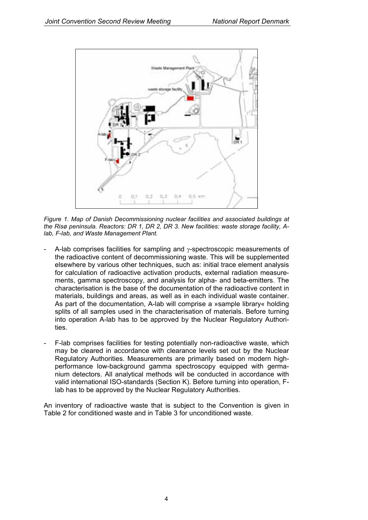

*Figure 1. Map of Danish Decommissioning nuclear facilities and associated buildings at the Risø peninsula. Reactors: DR 1, DR 2, DR 3. New facilities: waste storage facility, Alab, F-lab, and Waste Management Plant.* 

- A-lab comprises facilities for sampling and γ-spectroscopic measurements of the radioactive content of decommissioning waste. This will be supplemented elsewhere by various other techniques, such as: initial trace element analysis for calculation of radioactive activation products, external radiation measurements, gamma spectroscopy, and analysis for alpha- and beta-emitters. The characterisation is the base of the documentation of the radioactive content in materials, buildings and areas, as well as in each individual waste container. As part of the documentation, A-lab will comprise a »sample library« holding splits of all samples used in the characterisation of materials. Before turning into operation A-lab has to be approved by the Nuclear Regulatory Authorities.
- F-lab comprises facilities for testing potentially non-radioactive waste, which may be cleared in accordance with clearance levels set out by the Nuclear Regulatory Authorities. Measurements are primarily based on modern highperformance low-background gamma spectroscopy equipped with germanium detectors. All analytical methods will be conducted in accordance with valid international ISO-standards (Section K). Before turning into operation, Flab has to be approved by the Nuclear Regulatory Authorities.

An inventory of radioactive waste that is subject to the Convention is given in Table 2 for conditioned waste and in Table 3 for unconditioned waste.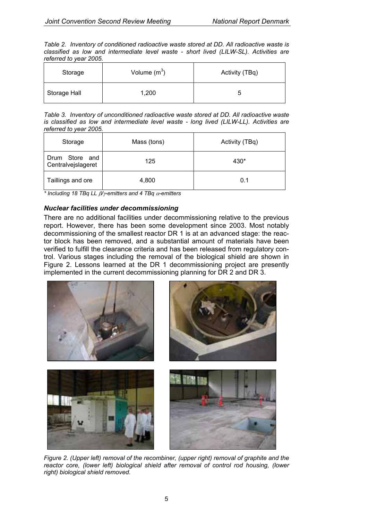*Table 2. Inventory of conditioned radioactive waste stored at DD. All radioactive waste is classified as low and intermediate level waste - short lived (LILW-SL). Activities are referred to year 2005.* 

| Storage      | Volume $(m^3)$ | Activity (TBq) |
|--------------|----------------|----------------|
| Storage Hall | 1,200          | ∽              |

*Table 3. Inventory of unconditioned radioactive waste stored at DD. All radioactive waste*  is classified as low and intermediate level waste - long lived (LILW-LL). Activities are *referred to year 2005.* 

| Mass (tons)<br>Storage               |       | Activity (TBq) |
|--------------------------------------|-------|----------------|
| Drum Store and<br>Centralvejslageret | 125   | 430*           |
| Taillings and ore                    | 4,800 | 0.1            |

*\* Including 18 TBq LL* β*/*γ*-emitters and 4 TBq* α*-emitters*

### *Nuclear facilities under decommissioning*

There are no additional facilities under decommissioning relative to the previous report. However, there has been some development since 2003. Most notably decommissioning of the smallest reactor DR 1 is at an advanced stage: the reactor block has been removed, and a substantial amount of materials have been verified to fulfill the clearance criteria and has been released from regulatory control. Various stages including the removal of the biological shield are shown in Figure 2. Lessons learned at the DR 1 decommissioning project are presently implemented in the current decommissioning planning for DR 2 and DR 3.



*Figure 2. (Upper left) removal of the recombiner, (upper right) removal of graphite and the*  reactor core, (lower left) biological shield after removal of control rod housing, (lower *right) biological shield removed.*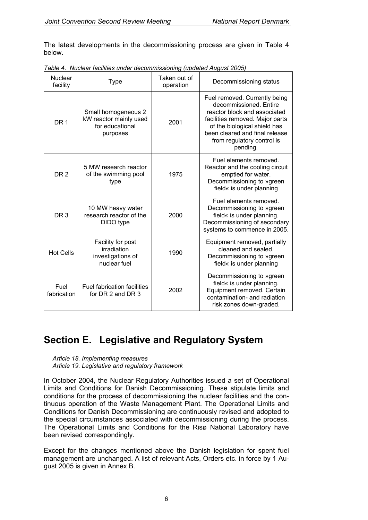The latest developments in the decommissioning process are given in Table 4 below.

| <b>Nuclear</b><br>facility | Type                                                                         | Taken out of<br>operation | Decommissioning status                                                                                                                                                                                                                 |
|----------------------------|------------------------------------------------------------------------------|---------------------------|----------------------------------------------------------------------------------------------------------------------------------------------------------------------------------------------------------------------------------------|
| DR <sub>1</sub>            | Small homogeneous 2<br>kW reactor mainly used<br>for educational<br>purposes | 2001                      | Fuel removed. Currently being<br>decommissioned. Entire<br>reactor block and associated<br>facilities removed. Major parts<br>of the biological shield has<br>been cleared and final release<br>from regulatory control is<br>pending. |
| DR <sub>2</sub>            | 5 MW research reactor<br>of the swimming pool<br>type                        | 1975                      | Fuel elements removed.<br>Reactor and the cooling circuit<br>emptied for water.<br>Decommissioning to »green<br>field« is under planning                                                                                               |
| DR <sub>3</sub>            | 10 MW heavy water<br>research reactor of the<br>DIDO type                    | 2000                      | Fuel elements removed.<br>Decommissioning to »green<br>field« is under planning.<br>Decommissioning of secondary<br>systems to commence in 2005.                                                                                       |
| <b>Hot Cells</b>           | Facility for post<br>irradiation<br>investigations of<br>nuclear fuel        | 1990                      | Equipment removed, partially<br>cleaned and sealed.<br>Decommissioning to »green<br>field« is under planning                                                                                                                           |
| Fuel<br>fabrication        | <b>Fuel fabrication facilities</b><br>for DR 2 and DR 3                      | 2002                      | Decommissioning to »green<br>field« is under planning.<br>Equipment removed. Certain<br>contamination- and radiation<br>risk zones down-graded.                                                                                        |

*Table 4. Nuclear facilities under decommissioning (updated August 2005)* 

### **Section E. Legislative and Regulatory System**

*Article 18. Implementing measures Article 19. Legislative and regulatory framework* 

In October 2004, the Nuclear Regulatory Authorities issued a set of Operational Limits and Conditions for Danish Decommissioning. These stipulate limits and conditions for the process of decommissioning the nuclear facilities and the continuous operation of the Waste Management Plant. The Operational Limits and Conditions for Danish Decommissioning are continuously revised and adopted to the special circumstances associated with decommissioning during the process. The Operational Limits and Conditions for the Risø National Laboratory have been revised correspondingly.

Except for the changes mentioned above the Danish legislation for spent fuel management are unchanged. A list of relevant Acts, Orders etc. in force by 1 August 2005 is given in Annex B.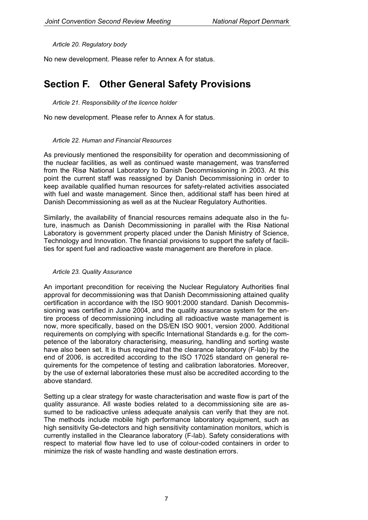*Article 20. Regulatory body* 

No new development. Please refer to Annex A for status.

### **Section F. Other General Safety Provisions**

*Article 21. Responsibility of the licence holder* 

No new development. Please refer to Annex A for status.

#### *Article 22. Human and Financial Resources*

As previously mentioned the responsibility for operation and decommissioning of the nuclear facilities, as well as continued waste management, was transferred from the Risø National Laboratory to Danish Decommissioning in 2003. At this point the current staff was reassigned by Danish Decommissioning in order to keep available qualified human resources for safety-related activities associated with fuel and waste management. Since then, additional staff has been hired at Danish Decommissioning as well as at the Nuclear Regulatory Authorities.

Similarly, the availability of financial resources remains adequate also in the future, inasmuch as Danish Decommissioning in parallel with the Risø National Laboratory is government property placed under the Danish Ministry of Science, Technology and Innovation. The financial provisions to support the safety of facilities for spent fuel and radioactive waste management are therefore in place.

#### *Article 23. Quality Assurance*

An important precondition for receiving the Nuclear Regulatory Authorities final approval for decommissioning was that Danish Decommissioning attained quality certification in accordance with the ISO 9001:2000 standard. Danish Decommissioning was certified in June 2004, and the quality assurance system for the entire process of decommissioning including all radioactive waste management is now, more specifically, based on the DS/EN ISO 9001, version 2000. Additional requirements on complying with specific International Standards e.g. for the competence of the laboratory characterising, measuring, handling and sorting waste have also been set. It is thus required that the clearance laboratory (F-lab) by the end of 2006, is accredited according to the ISO 17025 standard on general requirements for the competence of testing and calibration laboratories. Moreover, by the use of external laboratories these must also be accredited according to the above standard.

Setting up a clear strategy for waste characterisation and waste flow is part of the quality assurance. All waste bodies related to a decommissioning site are assumed to be radioactive unless adequate analysis can verify that they are not. The methods include mobile high performance laboratory equipment, such as high sensitivity Ge-detectors and high sensitivity contamination monitors, which is currently installed in the Clearance laboratory (F-lab). Safety considerations with respect to material flow have led to use of colour-coded containers in order to minimize the risk of waste handling and waste destination errors.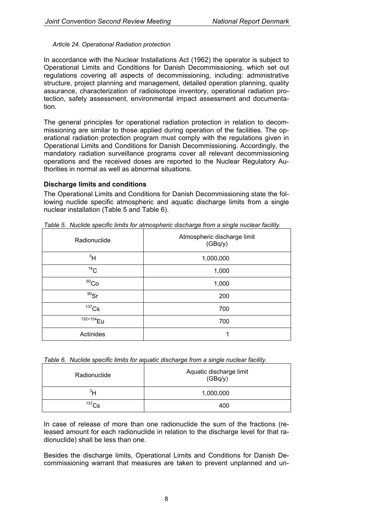#### *Article 24. Operational Radiation protection*

In accordance with the Nuclear Installations Act (1962) the operator is subject to Operational Limits and Conditions for Danish Decommissioning, which set out regulations covering all aspects of decommissioning, including: administrative structure, project planning and management, detailed operation planning, quality assurance, characterization of radioisotope inventory, operational radiation protection, safety assessment, environmental impact assessment and documentation.

The general principles for operational radiation protection in relation to decommissioning are similar to those applied during operation of the facilities. The operational radiation protection program must comply with the regulations given in Operational Limits and Conditions for Danish Decommissioning. Accordingly, the mandatory radiation surveillance programs cover all relevant decommissioning operations and the received doses are reported to the Nuclear Regulatory Authorities in normal as well as abnormal situations.

### **Discharge limits and conditions**

The Operational Limits and Conditions for Danish Decommissioning state the following nuclide specific atmospheric and aquatic discharge limits from a single nuclear installation (Table 5 and Table 6).

| Radionuclide          | Atmospheric discharge limit<br>(GBq/y) |
|-----------------------|----------------------------------------|
| $\rm{^{3}H}$          | 1,000,000                              |
| 14C                   | 1,000                                  |
| ${}^{60}Co$           | 1,000                                  |
| $90$ Sr               | 200                                    |
| $137$ Cs              | 700                                    |
| 152+154 <sub>Eu</sub> | 700                                    |
| Actinides             | 1                                      |

*Table 5. Nuclide specific limits for atmospheric discharge from a single nuclear facility.* 

*Table 6. Nuclide specific limits for aquatic discharge from a single nuclear facility.* 

| Radionuclide   | Aquatic discharge limit<br>(GBq/y) |  |
|----------------|------------------------------------|--|
| <sup>3</sup> H | 1,000,000                          |  |
| $137$ Cs       | 400                                |  |

In case of release of more than one radionuclide the sum of the fractions (released amount for each radionuclide in relation to the discharge level for that radionuclide) shall be less than one.

Besides the discharge limits, Operational Limits and Conditions for Danish Decommissioning warrant that measures are taken to prevent unplanned and un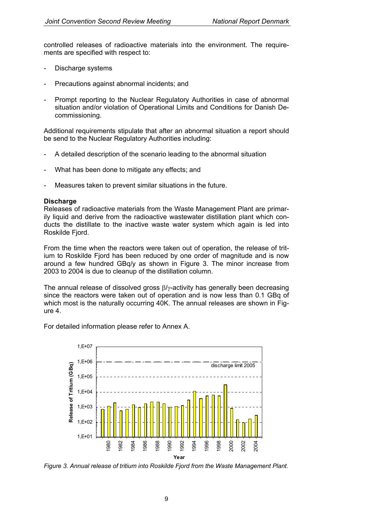controlled releases of radioactive materials into the environment. The requirements are specified with respect to:

- Discharge systems
- Precautions against abnormal incidents; and
- Prompt reporting to the Nuclear Regulatory Authorities in case of abnormal situation and/or violation of Operational Limits and Conditions for Danish Decommissioning.

Additional requirements stipulate that after an abnormal situation a report should be send to the Nuclear Regulatory Authorities including:

- A detailed description of the scenario leading to the abnormal situation
- What has been done to mitigate any effects; and
- Measures taken to prevent similar situations in the future.

### **Discharge**

Releases of radioactive materials from the Waste Management Plant are primarily liquid and derive from the radioactive wastewater distillation plant which conducts the distillate to the inactive waste water system which again is led into Roskilde Fjord.

From the time when the reactors were taken out of operation, the release of tritium to Roskilde Fjord has been reduced by one order of magnitude and is now around a few hundred GBq/y as shown in Figure 3. The minor increase from 2003 to 2004 is due to cleanup of the distillation column.

The annual release of dissolved gross β/γ-activity has generally been decreasing since the reactors were taken out of operation and is now less than 0.1 GBq of which most is the naturally occurring 40K. The annual releases are shown in Figure 4.

For detailed information please refer to Annex A.



*Figure 3. Annual release of tritium into Roskilde Fjord from the Waste Management Plant.*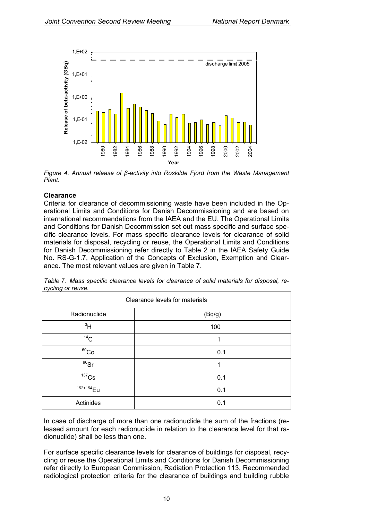

*Figure 4. Annual release of β-activity into Roskilde Fjord from the Waste Management Plant.* 

### **Clearance**

Criteria for clearance of decommissioning waste have been included in the Operational Limits and Conditions for Danish Decommissioning and are based on international recommendations from the IAEA and the EU. The Operational Limits and Conditions for Danish Decommission set out mass specific and surface specific clearance levels. For mass specific clearance levels for clearance of solid materials for disposal, recycling or reuse, the Operational Limits and Conditions for Danish Decommissioning refer directly to Table 2 in the IAEA Safety Guide No. RS-G-1.7, Application of the Concepts of Exclusion, Exemption and Clearance. The most relevant values are given in Table 7.

| Clearance levels for materials |        |  |  |
|--------------------------------|--------|--|--|
| Radionuclide                   | (Bq/g) |  |  |
| 3H                             | 100    |  |  |
| 14 <sub>C</sub>                |        |  |  |
| $60$ Co                        | 0.1    |  |  |
| $90$ Sr                        | 1      |  |  |
| $137$ Cs                       | 0.1    |  |  |
| 152+154 <sub>Eu</sub>          | 0.1    |  |  |
| Actinides                      | 0.1    |  |  |

*Table 7. Mass specific clearance levels for clearance of solid materials for disposal, recycling or reuse.* 

In case of discharge of more than one radionuclide the sum of the fractions (released amount for each radionuclide in relation to the clearance level for that radionuclide) shall be less than one.

For surface specific clearance levels for clearance of buildings for disposal, recycling or reuse the Operational Limits and Conditions for Danish Decommissioning refer directly to European Commission, Radiation Protection 113, Recommended radiological protection criteria for the clearance of buildings and building rubble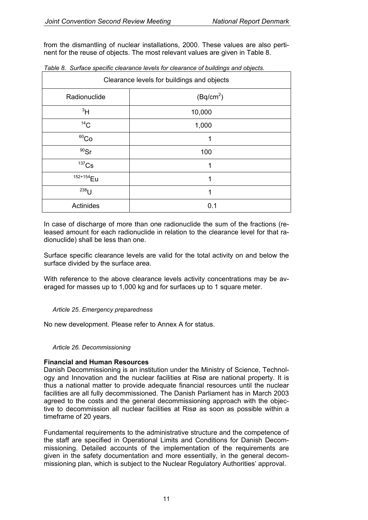from the dismantling of nuclear installations, 2000. These values are also pertinent for the reuse of objects. The most relevant values are given in Table 8.

| Clearance levels for buildings and objects |                       |  |  |
|--------------------------------------------|-----------------------|--|--|
| Radionuclide                               | (Bq/cm <sup>2</sup> ) |  |  |
| 3H                                         | 10,000                |  |  |
| 14C                                        | 1,000                 |  |  |
| 60 <sub>Co</sub>                           |                       |  |  |
| $90$ Sr                                    | 100                   |  |  |
| $137$ Cs                                   | 1                     |  |  |
| 152+154 Eu                                 | 1                     |  |  |
| $238$ []                                   |                       |  |  |
| Actinides                                  | 0.1                   |  |  |

| Table 8. Surface specific clearance levels for clearance of buildings and objects. |  |
|------------------------------------------------------------------------------------|--|
|------------------------------------------------------------------------------------|--|

In case of discharge of more than one radionuclide the sum of the fractions (released amount for each radionuclide in relation to the clearance level for that radionuclide) shall be less than one.

Surface specific clearance levels are valid for the total activity on and below the surface divided by the surface area.

With reference to the above clearance levels activity concentrations may be averaged for masses up to 1,000 kg and for surfaces up to 1 square meter.

### *Article 25. Emergency preparedness*

No new development. Please refer to Annex A for status.

*Article 26. Decommissioning* 

### **Financial and Human Resources**

Danish Decommissioning is an institution under the Ministry of Science, Technology and Innovation and the nuclear facilities at Risø are national property. It is thus a national matter to provide adequate financial resources until the nuclear facilities are all fully decommissioned. The Danish Parliament has in March 2003 agreed to the costs and the general decommissioning approach with the objective to decommission all nuclear facilities at Risø as soon as possible within a timeframe of 20 years.

Fundamental requirements to the administrative structure and the competence of the staff are specified in Operational Limits and Conditions for Danish Decommissioning. Detailed accounts of the implementation of the requirements are given in the safety documentation and more essentially, in the general decommissioning plan, which is subject to the Nuclear Regulatory Authorities' approval.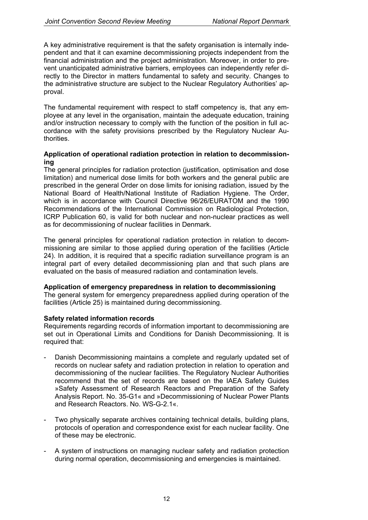A key administrative requirement is that the safety organisation is internally independent and that it can examine decommissioning projects independent from the financial administration and the project administration. Moreover, in order to prevent unanticipated administrative barriers, employees can independently refer directly to the Director in matters fundamental to safety and security. Changes to the administrative structure are subject to the Nuclear Regulatory Authorities' approval.

The fundamental requirement with respect to staff competency is, that any employee at any level in the organisation, maintain the adequate education, training and/or instruction necessary to comply with the function of the position in full accordance with the safety provisions prescribed by the Regulatory Nuclear Authorities.

### **Application of operational radiation protection in relation to decommissioning**

The general principles for radiation protection (justification, optimisation and dose limitation) and numerical dose limits for both workers and the general public are prescribed in the general Order on dose limits for ionising radiation, issued by the National Board of Health/National Institute of Radiation Hygiene. The Order, which is in accordance with Council Directive 96/26/EURATOM and the 1990 Recommendations of the International Commission on Radiological Protection, ICRP Publication 60, is valid for both nuclear and non-nuclear practices as well as for decommissioning of nuclear facilities in Denmark.

The general principles for operational radiation protection in relation to decommissioning are similar to those applied during operation of the facilities (Article 24). In addition, it is required that a specific radiation surveillance program is an integral part of every detailed decommissioning plan and that such plans are evaluated on the basis of measured radiation and contamination levels.

#### **Application of emergency preparedness in relation to decommissioning**

The general system for emergency preparedness applied during operation of the facilities (Article 25) is maintained during decommissioning.

#### **Safety related information records**

Requirements regarding records of information important to decommissioning are set out in Operational Limits and Conditions for Danish Decommissioning. It is required that:

- Danish Decommissioning maintains a complete and regularly updated set of records on nuclear safety and radiation protection in relation to operation and decommissioning of the nuclear facilities. The Regulatory Nuclear Authorities recommend that the set of records are based on the IAEA Safety Guides »Safety Assessment of Research Reactors and Preparation of the Safety Analysis Report. No. 35-G1« and »Decommissioning of Nuclear Power Plants and Research Reactors. No. WS-G-2.1«.
- Two physically separate archives containing technical details, building plans, protocols of operation and correspondence exist for each nuclear facility. One of these may be electronic.
- A system of instructions on managing nuclear safety and radiation protection during normal operation, decommissioning and emergencies is maintained.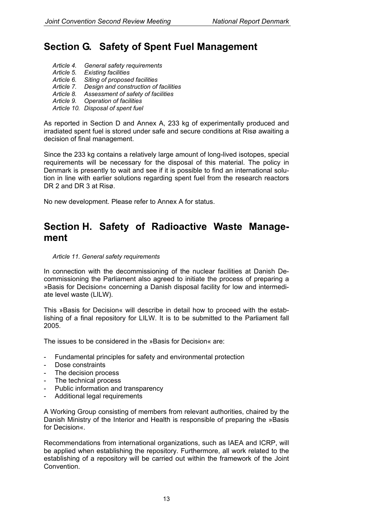### **Section G. Safety of Spent Fuel Management**

- *Article 4. General safety requirements*
- *Article 5. Existing facilities*
- *Article 6. Siting of proposed facilities*
- *Article 7. Design and construction of facilities*
- *Article 8. Assessment of safety of facilities*
- *Article 9. Operation of facilities*
- *Article 10. Disposal of spent fuel*

As reported in Section D and Annex A, 233 kg of experimentally produced and irradiated spent fuel is stored under safe and secure conditions at Risø awaiting a decision of final management.

Since the 233 kg contains a relatively large amount of long-lived isotopes, special requirements will be necessary for the disposal of this material. The policy in Denmark is presently to wait and see if it is possible to find an international solution in line with earlier solutions regarding spent fuel from the research reactors DR 2 and DR 3 at Risø.

No new development. Please refer to Annex A for status.

### **Section H. Safety of Radioactive Waste Management**

#### *Article 11. General safety requirements*

In connection with the decommissioning of the nuclear facilities at Danish Decommissioning the Parliament also agreed to initiate the process of preparing a »Basis for Decision« concerning a Danish disposal facility for low and intermediate level waste (LILW).

This »Basis for Decision« will describe in detail how to proceed with the establishing of a final repository for LILW. It is to be submitted to the Parliament fall 2005.

The issues to be considered in the »Basis for Decision« are:

- Fundamental principles for safety and environmental protection
- Dose constraints
- The decision process
- The technical process
- Public information and transparency
- Additional legal requirements

A Working Group consisting of members from relevant authorities, chaired by the Danish Ministry of the Interior and Health is responsible of preparing the »Basis for Decision«.

Recommendations from international organizations, such as IAEA and ICRP, will be applied when establishing the repository. Furthermore, all work related to the establishing of a repository will be carried out within the framework of the Joint Convention.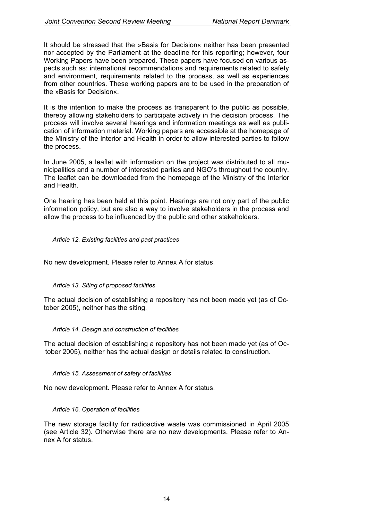It should be stressed that the »Basis for Decision« neither has been presented nor accepted by the Parliament at the deadline for this reporting; however, four Working Papers have been prepared. These papers have focused on various aspects such as: international recommendations and requirements related to safety and environment, requirements related to the process, as well as experiences from other countries. These working papers are to be used in the preparation of the »Basis for Decision«.

It is the intention to make the process as transparent to the public as possible, thereby allowing stakeholders to participate actively in the decision process. The process will involve several hearings and information meetings as well as publication of information material. Working papers are accessible at the homepage of the Ministry of the Interior and Health in order to allow interested parties to follow the process.

In June 2005, a leaflet with information on the project was distributed to all municipalities and a number of interested parties and NGO's throughout the country. The leaflet can be downloaded from the homepage of the Ministry of the Interior and Health.

One hearing has been held at this point. Hearings are not only part of the public information policy, but are also a way to involve stakeholders in the process and allow the process to be influenced by the public and other stakeholders.

#### *Article 12. Existing facilities and past practices*

No new development. Please refer to Annex A for status.

#### *Article 13. Siting of proposed facilities*

The actual decision of establishing a repository has not been made yet (as of October 2005), neither has the siting.

#### *Article 14. Design and construction of facilities*

The actual decision of establishing a repository has not been made yet (as of October 2005), neither has the actual design or details related to construction.

#### *Article 15. Assessment of safety of facilities*

No new development. Please refer to Annex A for status.

#### *Article 16. Operation of facilities*

The new storage facility for radioactive waste was commissioned in April 2005 (see Article 32). Otherwise there are no new developments. Please refer to Annex A for status.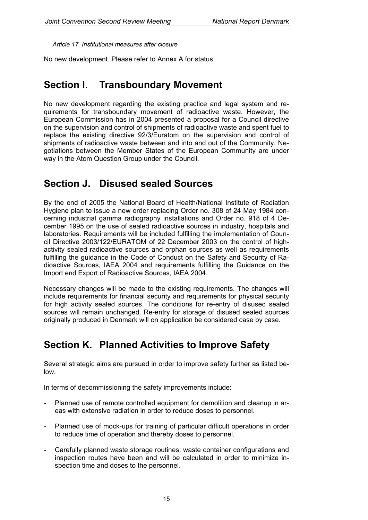*Article 17. Institutional measures after closure* 

No new development. Please refer to Annex A for status.

### **Section I. Transboundary Movement**

No new development regarding the existing practice and legal system and requirements for transboundary movement of radioactive waste. However, the European Commission has in 2004 presented a proposal for a Council directive on the supervision and control of shipments of radioactive waste and spent fuel to replace the existing directive 92/3/Euratom on the supervision and control of shipments of radioactive waste between and into and out of the Community. Negotiations between the Member States of the European Community are under way in the Atom Question Group under the Council.

### **Section J. Disused sealed Sources**

By the end of 2005 the National Board of Health/National Institute of Radiation Hygiene plan to issue a new order replacing Order no. 308 of 24 May 1984 concerning industrial gamma radiography installations and Order no. 918 of 4 December 1995 on the use of sealed radioactive sources in industry, hospitals and laboratories. Requirements will be included fulfilling the implementation of Council Directive 2003/122/EURATOM of 22 December 2003 on the control of highactivity sealed radioactive sources and orphan sources as well as requirements fulfilling the guidance in the Code of Conduct on the Safety and Security of Radioactive Sources, IAEA 2004 and requirements fulfilling the Guidance on the Import end Export of Radioactive Sources, IAEA 2004.

Necessary changes will be made to the existing requirements. The changes will include requirements for financial security and requirements for physical security for high activity sealed sources. The conditions for re-entry of disused sealed sources will remain unchanged. Re-entry for storage of disused sealed sources originally produced in Denmark will on application be considered case by case.

### **Section K. Planned Activities to Improve Safety**

Several strategic aims are pursued in order to improve safety further as listed below.

In terms of decommissioning the safety improvements include:

- Planned use of remote controlled equipment for demolition and cleanup in areas with extensive radiation in order to reduce doses to personnel.
- Planned use of mock-ups for training of particular difficult operations in order to reduce time of operation and thereby doses to personnel.
- Carefully planned waste storage routines: waste container configurations and inspection routes have been and will be calculated in order to minimize inspection time and doses to the personnel.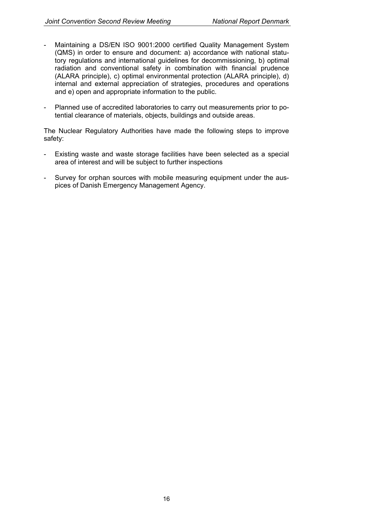- Maintaining a DS/EN ISO 9001:2000 certified Quality Management System (QMS) in order to ensure and document: a) accordance with national statutory regulations and international guidelines for decommissioning, b) optimal radiation and conventional safety in combination with financial prudence (ALARA principle), c) optimal environmental protection (ALARA principle), d) internal and external appreciation of strategies, procedures and operations and e) open and appropriate information to the public.
- Planned use of accredited laboratories to carry out measurements prior to potential clearance of materials, objects, buildings and outside areas.

The Nuclear Regulatory Authorities have made the following steps to improve safety:

- Existing waste and waste storage facilities have been selected as a special area of interest and will be subject to further inspections
- Survey for orphan sources with mobile measuring equipment under the auspices of Danish Emergency Management Agency.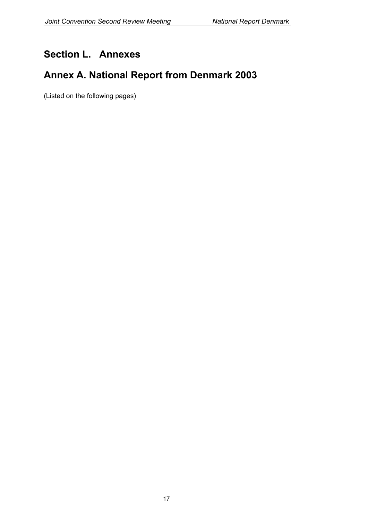### **Section L. Annexes**

### **Annex A. National Report from Denmark 2003**

(Listed on the following pages)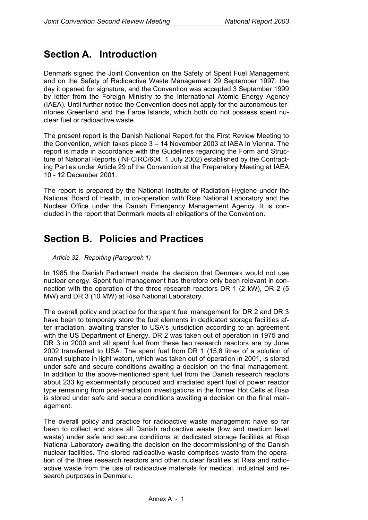### **Section A. Introduction**

Denmark signed the Joint Convention on the Safety of Spent Fuel Management and on the Safety of Radioactive Waste Management 29 September 1997, the day it opened for signature, and the Convention was accepted 3 September 1999 by letter from the Foreign Ministry to the International Atomic Energy Agency (IAEA). Until further notice the Convention does not apply for the autonomous territories Greenland and the Faroe Islands, which both do not possess spent nuclear fuel or radioactive waste.

The present report is the Danish National Report for the First Review Meeting to the Convention, which takes place 3 – 14 November 2003 at IAEA in Vienna. The report is made in accordance with the Guidelines regarding the Form and Structure of National Reports (INFCIRC/604, 1 July 2002) established by the Contracting Parties under Article 29 of the Convention at the Preparatory Meeting at IAEA 10 - 12 December 2001.

The report is prepared by the National Institute of Radiation Hygiene under the National Board of Health, in co-operation with Risø National Laboratory and the Nuclear Office under the Danish Emergency Management Agency. It is concluded in the report that Denmark meets all obligations of the Convention.

### **Section B. Policies and Practices**

### *Article 32. Reporting (Paragraph 1)*

In 1985 the Danish Parliament made the decision that Denmark would not use nuclear energy. Spent fuel management has therefore only been relevant in connection with the operation of the three research reactors DR 1 (2 kW), DR 2 (5 MW) and DR 3 (10 MW) at Risø National Laboratory.

The overall policy and practice for the spent fuel management for DR 2 and DR 3 have been to temporary store the fuel elements in dedicated storage facilities after irradiation, awaiting transfer to USA's jurisdiction according to an agreement with the US Department of Energy. DR 2 was taken out of operation in 1975 and DR 3 in 2000 and all spent fuel from these two research reactors are by June 2002 transferred to USA. The spent fuel from DR 1 (15,8 litres of a solution of uranyl sulphate in light water), which was taken out of operation in 2001, is stored under safe and secure conditions awaiting a decision on the final management. In addition to the above-mentioned spent fuel from the Danish research reactors about 233 kg experimentally produced and irradiated spent fuel of power reactor type remaining from post-irradiation investigations in the former Hot Cells at Risø is stored under safe and secure conditions awaiting a decision on the final management.

The overall policy and practice for radioactive waste management have so far been to collect and store all Danish radioactive waste (low and medium level waste) under safe and secure conditions at dedicated storage facilities at Risø National Laboratory awaiting the decision on the decommissioning of the Danish nuclear facilities. The stored radioactive waste comprises waste from the operation of the three research reactors and other nuclear facilities at Risø and radioactive waste from the use of radioactive materials for medical, industrial and research purposes in Denmark.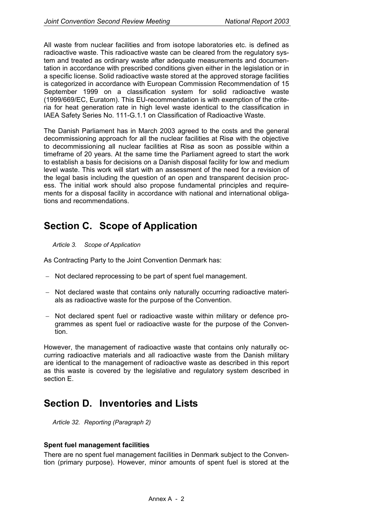All waste from nuclear facilities and from isotope laboratories etc. is defined as radioactive waste. This radioactive waste can be cleared from the regulatory system and treated as ordinary waste after adequate measurements and documentation in accordance with prescribed conditions given either in the legislation or in a specific license. Solid radioactive waste stored at the approved storage facilities is categorized in accordance with European Commission Recommendation of 15 September 1999 on a classification system for solid radioactive waste (1999/669/EC, Euratom). This EU-recommendation is with exemption of the criteria for heat generation rate in high level waste identical to the classification in IAEA Safety Series No. 111-G.1.1 on Classification of Radioactive Waste.

The Danish Parliament has in March 2003 agreed to the costs and the general decommissioning approach for all the nuclear facilities at Risø with the objective to decommissioning all nuclear facilities at Risø as soon as possible within a timeframe of 20 years. At the same time the Parliament agreed to start the work to establish a basis for decisions on a Danish disposal facility for low and medium level waste. This work will start with an assessment of the need for a revision of the legal basis including the question of an open and transparent decision process. The initial work should also propose fundamental principles and requirements for a disposal facility in accordance with national and international obligations and recommendations.

### **Section C. Scope of Application**

#### *Article 3. Scope of Application*

As Contracting Party to the Joint Convention Denmark has:

- − Not declared reprocessing to be part of spent fuel management.
- − Not declared waste that contains only naturally occurring radioactive materials as radioactive waste for the purpose of the Convention.
- − Not declared spent fuel or radioactive waste within military or defence programmes as spent fuel or radioactive waste for the purpose of the Convention.

However, the management of radioactive waste that contains only naturally occurring radioactive materials and all radioactive waste from the Danish military are identical to the management of radioactive waste as described in this report as this waste is covered by the legislative and regulatory system described in section E.

### **Section D. Inventories and Lists**

*Article 32. Reporting (Paragraph 2)* 

### **Spent fuel management facilities**

There are no spent fuel management facilities in Denmark subject to the Convention (primary purpose). However, minor amounts of spent fuel is stored at the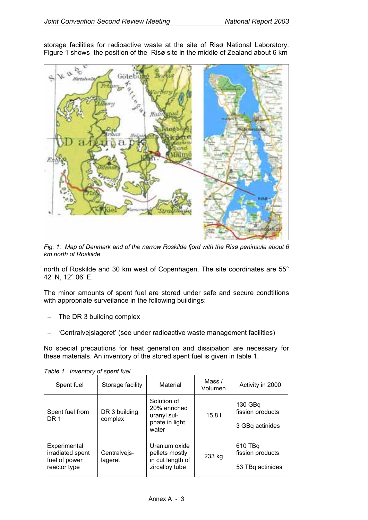storage facilities for radioactive waste at the site of Risø National Laboratory. Figure 1 shows the position of the Risø site in the middle of Zealand about 6 km



*Fig. 1. Map of Denmark and of the narrow Roskilde fjord with the Risø peninsula about 6 km north of Roskilde* 

north of Roskilde and 30 km west of Copenhagen. The site coordinates are 55° 42' N, 12° 06' E.

The minor amounts of spent fuel are stored under safe and secure condtitions with appropriate surveilance in the following buildings:

- The DR 3 building complex
- − 'Centralvejslageret' (see under radioactive waste management facilities)

No special precautions for heat generation and dissipation are necessary for these materials. An inventory of the stored spent fuel is given in table 1.

| Spent fuel                                                        | Storage facility         | Material                                                              | Mass /<br>Volumen | Activity in 2000                                |
|-------------------------------------------------------------------|--------------------------|-----------------------------------------------------------------------|-------------------|-------------------------------------------------|
| Spent fuel from<br>DR 1                                           | DR 3 building<br>complex | Solution of<br>20% enriched<br>uranyl sul-<br>phate in light<br>water | 15,81             | 130 GBq<br>fission products<br>3 GBq actinides  |
| Experimental<br>irradiated spent<br>fuel of power<br>reactor type | Centralvejs-<br>lageret  | Uranium oxide<br>pellets mostly<br>in cut length of<br>zircalloy tube | 233 kg            | 610 TBq<br>fission products<br>53 TBq actinides |

*Table 1. Inventory of spent fuel*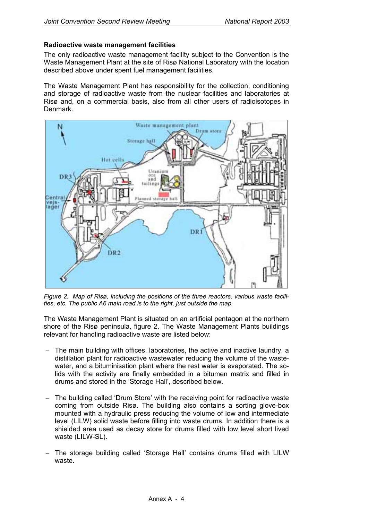### **Radioactive waste management facilities**

The only radioactive waste management facility subject to the Convention is the Waste Management Plant at the site of Risø National Laboratory with the location described above under spent fuel management facilities.

The Waste Management Plant has responsibility for the collection, conditioning and storage of radioactive waste from the nuclear facilities and laboratories at Risø and, on a commercial basis, also from all other users of radioisotopes in Denmark.



*Figure 2. Map of Risø, including the positions of the three reactors, various waste facilities, etc. The public A6 main road is to the right, just outside the map.* 

The Waste Management Plant is situated on an artificial pentagon at the northern shore of the Risø peninsula, figure 2. The Waste Management Plants buildings relevant for handling radioactive waste are listed below:

- The main building with offices, laboratories, the active and inactive laundry, a distillation plant for radioactive wastewater reducing the volume of the wastewater, and a bituminisation plant where the rest water is evaporated. The solids with the activity are finally embedded in a bitumen matrix and filled in drums and stored in the 'Storage Hall', described below.
- − The building called 'Drum Store' with the receiving point for radioactive waste coming from outside Risø. The building also contains a sorting glove-box mounted with a hydraulic press reducing the volume of low and intermediate level (LILW) solid waste before filling into waste drums. In addition there is a shielded area used as decay store for drums filled with low level short lived waste (LILW-SL).
- − The storage building called 'Storage Hall' contains drums filled with LILW waste.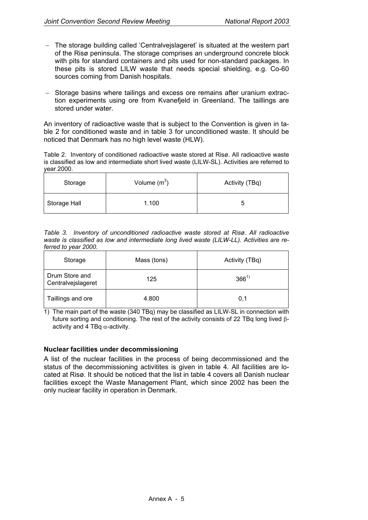- − The storage building called 'Centralvejslageret' is situated at the western part of the Risø peninsula. The storage comprises an underground concrete block with pits for standard containers and pits used for non-standard packages. In these pits is stored LILW waste that needs special shielding, e.g. Co-60 sources coming from Danish hospitals.
- − Storage basins where tailings and excess ore remains after uranium extraction experiments using ore from Kvanefjeld in Greenland. The taillings are stored under water.

An inventory of radioactive waste that is subject to the Convention is given in table 2 for conditioned waste and in table 3 for unconditioned waste. It should be noticed that Denmark has no high level waste (HLW).

Table 2. Inventory of conditioned radioactive waste stored at Risø. All radioactive waste is classified as low and intermediate short lived waste (LILW-SL). Activities are referred to year 2000.

| Storage      | Volume $(m^3)$ | Activity (TBq) |
|--------------|----------------|----------------|
| Storage Hall | 1.100          |                |

*Table 3. Inventory of unconditioned radioactive waste stored at Risø. All radioactive waste is classified as low and intermediate long lived waste (LILW-LL). Activities are referred to year 2000.* 

| Storage                              | Mass (tons) | Activity (TBq) |  |
|--------------------------------------|-------------|----------------|--|
| Drum Store and<br>Centralvejslageret | 125         | $366^{1}$      |  |
| Taillings and ore                    | 4.800       | 0.1            |  |

1) The main part of the waste (340 TBq) may be classified as LILW-SL in connection with future sorting and conditioning. The rest of the activity consists of 22 TBq long lived βactivity and 4 TBq  $\alpha$ -activity.

### **Nuclear facilities under decommissioning**

A list of the nuclear facilities in the process of being decommissioned and the status of the decommissioning activitites is given in table 4. All facilities are located at Risø. It should be noticed that the list in table 4 covers all Danish nuclear facilities except the Waste Management Plant, which since 2002 has been the only nuclear facility in operation in Denmark.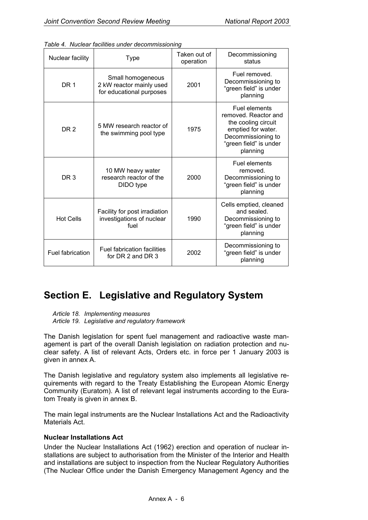| Nuclear facility | Type                                                                              | Taken out of<br>operation | Decommissioning<br>status                                                                                                                      |
|------------------|-----------------------------------------------------------------------------------|---------------------------|------------------------------------------------------------------------------------------------------------------------------------------------|
| DR <sub>1</sub>  | Small homogeneous<br>2001<br>2 kW reactor mainly used<br>for educational purposes |                           | Fuel removed.<br>Decommissioning to<br>"green field" is under<br>planning                                                                      |
| DR <sub>2</sub>  | 5 MW research reactor of<br>the swimming pool type                                | 1975                      | Fuel elements<br>removed. Reactor and<br>the cooling circuit<br>emptied for water.<br>Decommissioning to<br>"green field" is under<br>planning |
| DR <sub>3</sub>  | 10 MW heavy water<br>research reactor of the<br>DIDO type                         | 2000                      | Fuel elements<br>removed.<br>Decommissioning to<br>"green field" is under<br>planning                                                          |
| <b>Hot Cells</b> | Facility for post irradiation<br>investigations of nuclear<br>fuel                |                           | Cells emptied, cleaned<br>and sealed.<br>Decommissioning to<br>"green field" is under<br>planning                                              |
| Fuel fabrication | <b>Fuel fabrication facilities</b><br>for DR 2 and DR 3                           | 2002                      | Decommissioning to<br>"green field" is under<br>planning                                                                                       |

### **Section E. Legislative and Regulatory System**

*Article 18. Implementing measures* 

*Article 19. Legislative and regulatory framework* 

The Danish legislation for spent fuel management and radioactive waste management is part of the overall Danish legislation on radiation protection and nuclear safety. A list of relevant Acts, Orders etc. in force per 1 January 2003 is given in annex A.

The Danish legislative and regulatory system also implements all legislative requirements with regard to the Treaty Establishing the European Atomic Energy Community (Euratom). A list of relevant legal instruments according to the Euratom Treaty is given in annex B.

The main legal instruments are the Nuclear Installations Act and the Radioactivity Materials Act.

### **Nuclear Installations Act**

Under the Nuclear Installations Act (1962) erection and operation of nuclear installations are subject to authorisation from the Minister of the Interior and Health and installations are subject to inspection from the Nuclear Regulatory Authorities (The Nuclear Office under the Danish Emergency Management Agency and the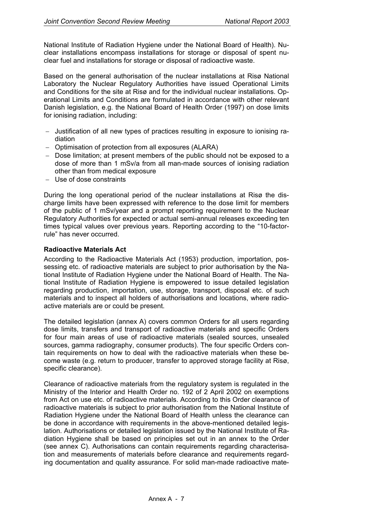National Institute of Radiation Hygiene under the National Board of Health). Nuclear installations encompass installations for storage or disposal of spent nuclear fuel and installations for storage or disposal of radioactive waste.

Based on the general authorisation of the nuclear installations at Risø National Laboratory the Nuclear Regulatory Authorities have issued Operational Limits and Conditions for the site at Risø and for the individual nuclear installations. Operational Limits and Conditions are formulated in accordance with other relevant Danish legislation, e.g. the National Board of Health Order (1997) on dose limits for ionising radiation, including:

- − Justification of all new types of practices resulting in exposure to ionising radiation
- − Optimisation of protection from all exposures (ALARA)
- − Dose limitation; at present members of the public should not be exposed to a dose of more than 1 mSv/a from all man-made sources of ionising radiation other than from medical exposure
- − Use of dose constraints

During the long operational period of the nuclear installations at Risø the discharge limits have been expressed with reference to the dose limit for members of the public of 1 mSv/year and a prompt reporting requirement to the Nuclear Regulatory Authorities for expected or actual semi-annual releases exceeding ten times typical values over previous years. Reporting according to the "10-factorrule" has never occurred.

### **Radioactive Materials Act**

According to the Radioactive Materials Act (1953) production, importation, possessing etc. of radioactive materials are subject to prior authorisation by the National Institute of Radiation Hygiene under the National Board of Health. The National Institute of Radiation Hygiene is empowered to issue detailed legislation regarding production, importation, use, storage, transport, disposal etc. of such materials and to inspect all holders of authorisations and locations, where radioactive materials are or could be present.

The detailed legislation (annex A) covers common Orders for all users regarding dose limits, transfers and transport of radioactive materials and specific Orders for four main areas of use of radioactive materials (sealed sources, unsealed sources, gamma radiography, consumer products). The four specific Orders contain requirements on how to deal with the radioactive materials when these become waste (e.g. return to producer, transfer to approved storage facility at Risø, specific clearance).

Clearance of radioactive materials from the regulatory system is regulated in the Ministry of the Interior and Health Order no. 192 of 2 April 2002 on exemptions from Act on use etc. of radioactive materials. According to this Order clearance of radioactive materials is subject to prior authorisation from the National Institute of Radiation Hygiene under the National Board of Health unless the clearance can be done in accordance with requirements in the above-mentioned detailed legislation. Authorisations or detailed legislation issued by the National Institute of Radiation Hygiene shall be based on principles set out in an annex to the Order (see annex C). Authorisations can contain requirements regarding characterisation and measurements of materials before clearance and requirements regarding documentation and quality assurance. For solid man-made radioactive mate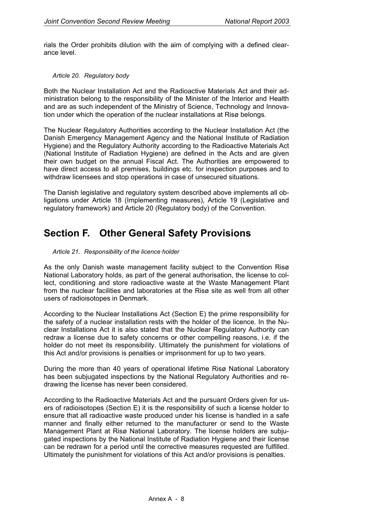rials the Order prohibits dilution with the aim of complying with a defined clearance level.

#### *Article 20. Regulatory body*

Both the Nuclear Installation Act and the Radioactive Materials Act and their administration belong to the responsibility of the Minister of the Interior and Health and are as such independent of the Ministry of Science, Technology and Innovation under which the operation of the nuclear installations at Risø belongs.

The Nuclear Regulatory Authorities according to the Nuclear Installation Act (the Danish Emergency Management Agency and the National Institute of Radiation Hygiene) and the Regulatory Authority according to the Radioactive Materials Act (National Institute of Radiation Hygiene) are defined in the Acts and are given their own budget on the annual Fiscal Act. The Authorities are empowered to have direct access to all premises, buildings etc. for inspection purposes and to withdraw licensees and stop operations in case of unsecured situations.

The Danish legislative and regulatory system described above implements all obligations under Article 18 (Implementing measures), Article 19 (Legislative and regulatory framework) and Article 20 (Regulatory body) of the Convention.

### **Section F. Other General Safety Provisions**

#### *Article 21. Responsibility of the licence holder*

As the only Danish waste management facility subject to the Convention Risø National Laboratory holds, as part of the general authorisation, the license to collect, conditioning and store radioactive waste at the Waste Management Plant from the nuclear facilities and laboratories at the Risø site as well from all other users of radioisotopes in Denmark.

According to the Nuclear Installations Act (Section E) the prime responsibility for the safety of a nuclear installation rests with the holder of the licence. In the Nuclear Installations Act it is also stated that the Nuclear Regulatory Authority can redraw a license due to safety concerns or other compelling reasons, i.e. if the holder do not meet its responsibility. Ultimately the punishment for violations of this Act and/or provisions is penalties or imprisonment for up to two years.

During the more than 40 years of operational lifetime Risø National Laboratory has been subjugated inspections by the National Regulatory Authorities and redrawing the license has never been considered.

According to the Radioactive Materials Act and the pursuant Orders given for users of radioisotopes (Section E) it is the responsibility of such a license holder to ensure that all radioactive waste produced under his license is handled in a safe manner and finally either returned to the manufacturer or send to the Waste Management Plant at Risø National Laboratory. The license holders are subjugated inspections by the National Institute of Radiation Hygiene and their license can be redrawn for a period until the corrective measures requested are fulfilled. Ultimately the punishment for violations of this Act and/or provisions is penalties.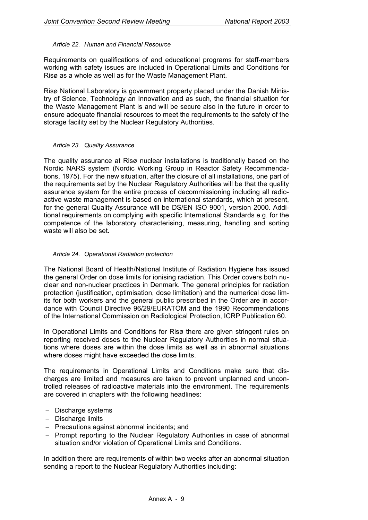#### *Article 22. Human and Financial Resource*

Requirements on qualifications of and educational programs for staff-members working with safety issues are included in Operational Limits and Conditions for Risø as a whole as well as for the Waste Management Plant.

Risø National Laboratory is government property placed under the Danish Ministry of Science, Technology an Innovation and as such, the financial situation for the Waste Management Plant is and will be secure also in the future in order to ensure adequate financial resources to meet the requirements to the safety of the storage facility set by the Nuclear Regulatory Authorities.

#### *Article 23. Quality Assurance*

The quality assurance at Risø nuclear installations is traditionally based on the Nordic NARS system (Nordic Working Group in Reactor Safety Recommendations, 1975). For the new situation, after the closure of all installations, one part of the requirements set by the Nuclear Regulatory Authorities will be that the quality assurance system for the entire process of decommissioning including all radioactive waste management is based on international standards, which at present, for the general Quality Assurance will be DS/EN ISO 9001, version 2000. Additional requirements on complying with specific International Standards e.g. for the competence of the laboratory characterising, measuring, handling and sorting waste will also be set.

### *Article 24. Operational Radiation protection*

The National Board of Health/National Institute of Radiation Hygiene has issued the general Order on dose limits for ionising radiation. This Order covers both nuclear and non-nuclear practices in Denmark. The general principles for radiation protection (justification, optimisation, dose limitation) and the numerical dose limits for both workers and the general public prescribed in the Order are in accordance with Council Directive 96/29/EURATOM and the 1990 Recommendations of the International Commission on Radiological Protection, ICRP Publication 60.

In Operational Limits and Conditions for Risø there are given stringent rules on reporting received doses to the Nuclear Regulatory Authorities in normal situations where doses are within the dose limits as well as in abnormal situations where doses might have exceeded the dose limits.

The requirements in Operational Limits and Conditions make sure that discharges are limited and measures are taken to prevent unplanned and uncontrolled releases of radioactive materials into the environment. The requirements are covered in chapters with the following headlines:

- − Discharge systems
- − Discharge limits
- − Precautions against abnormal incidents; and
- − Prompt reporting to the Nuclear Regulatory Authorities in case of abnormal situation and/or violation of Operational Limits and Conditions.

In addition there are requirements of within two weeks after an abnormal situation sending a report to the Nuclear Regulatory Authorities including: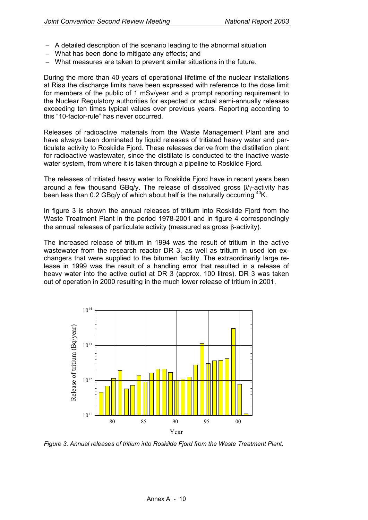- − A detailed description of the scenario leading to the abnormal situation
- − What has been done to mitigate any effects; and
- − What measures are taken to prevent similar situations in the future.

During the more than 40 years of operational lifetime of the nuclear installations at Risø the discharge limits have been expressed with reference to the dose limit for members of the public of 1 mSv/year and a prompt reporting requirement to the Nuclear Regulatory authorities for expected or actual semi-annually releases exceeding ten times typical values over previous years. Reporting according to this "10-factor-rule" has never occurred.

Releases of radioactive materials from the Waste Management Plant are and have always been dominated by liquid releases of tritiated heavy water and particulate activity to Roskilde Fiord. These releases derive from the distillation plant for radioactive wastewater, since the distillate is conducted to the inactive waste water system, from where it is taken through a pipeline to Roskilde Fjord.

The releases of tritiated heavy water to Roskilde Fjord have in recent years been around a few thousand GBq/y. The release of dissolved gross β/γ-activity has been less than 0.2 GBq/y of which about half is the naturally occurring  $^{40}$ K.

In figure 3 is shown the annual releases of tritium into Roskilde Fjord from the Waste Treatment Plant in the period 1978-2001 and in figure 4 correspondingly the annual releases of particulate activity (measured as gross β-activity).

The increased release of tritium in 1994 was the result of tritium in the active wastewater from the research reactor DR 3, as well as tritium in used ion exchangers that were supplied to the bitumen facility. The extraordinarily large release in 1999 was the result of a handling error that resulted in a release of heavy water into the active outlet at DR 3 (approx. 100 litres). DR 3 was taken out of operation in 2000 resulting in the much lower release of tritium in 2001.



*Figure 3. Annual releases of tritium into Roskilde Fjord from the Waste Treatment Plant.*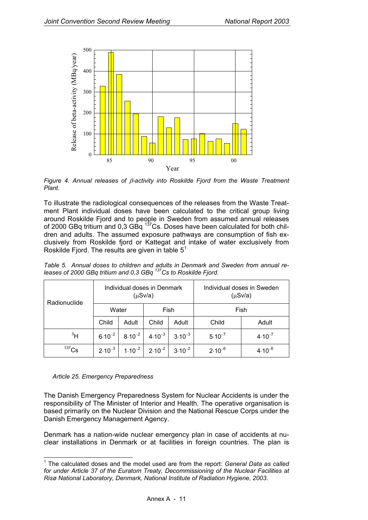<span id="page-31-0"></span>

*Figure 4. Annual releases of* β*-activity into Roskilde Fjord from the Waste Treatment Plant.* 

To illustrate the radiological consequences of the releases from the Waste Treatment Plant individual doses have been calculated to the critical group living around Roskilde Fjord and to people in Sweden from assumed annual releases of 2000 GBq tritium and  $0.3$  GBq  $137$ Cs. Doses have been calculated for both children and adults. The assumed exposure pathways are consumption of fish exclusively from Roskilde fjord or Kattegat and intake of water exclusively from Roskilde Fjord. The results are given in table  $5<sup>1</sup>$  $5<sup>1</sup>$  $5<sup>1</sup>$ .

| Radionuclide | Individual doses in Denmark<br>$(\mu Sv/a)$ |             |             |             | Individual doses in Sweden<br>$(\mu Sv/a)$ |             |
|--------------|---------------------------------------------|-------------|-------------|-------------|--------------------------------------------|-------------|
|              | Water                                       |             | Fish        |             | Fish                                       |             |
|              | Child                                       | Adult       | Child       | Adult       | Child                                      | Adult       |
| $\rm{^{3}H}$ | $6.10^{-2}$                                 | $8.10^{-2}$ | $4.10^{-3}$ | $3.10^{-3}$ | $5.10^{-7}$                                | $4.10^{-7}$ |
| $137$ Cs     | $2.10^{-3}$                                 | $1.10^{-2}$ | $2.10^{-2}$ | $3.10^{-2}$ | $2.10^{-6}$                                | $4.10^{-6}$ |

*Table 5. Annual doses to children and adults in Denmark and Sweden from annual releases of 2000 GBq tritium and 0,3 GBq 137Cs to Roskilde Fjord.* 

*Article 25. Emergency Preparedness* 

The Danish Emergency Preparedness System for Nuclear Accidents is under the responsibility of The Minister of Interior and Health. The operative organisation is based primarily on the Nuclear Division and the National Rescue Corps under the Danish Emergency Management Agency.

Denmark has a nation-wide nuclear emergency plan in case of accidents at nuclear installations in Denmark or at facilities in foreign countries. The plan is

<sup>-</sup>1 The calculated doses and the model used are from the report: *General Data as called for under Article 37 of the Euratom Treaty, Decommissioning of the Nuclear Facilities at Risø National Laboratory, Denmark, National Institute of Radiation Hygiene, 2003*.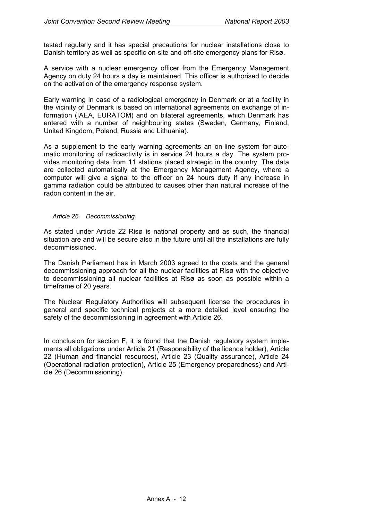tested regularly and it has special precautions for nuclear installations close to Danish territory as well as specific on-site and off-site emergency plans for Risø.

A service with a nuclear emergency officer from the Emergency Management Agency on duty 24 hours a day is maintained. This officer is authorised to decide on the activation of the emergency response system.

Early warning in case of a radiological emergency in Denmark or at a facility in the vicinity of Denmark is based on international agreements on exchange of information (IAEA, EURATOM) and on bilateral agreements, which Denmark has entered with a number of neighbouring states (Sweden, Germany, Finland, United Kingdom, Poland, Russia and Lithuania).

As a supplement to the early warning agreements an on-line system for automatic monitoring of radioactivity is in service 24 hours a day. The system provides monitoring data from 11 stations placed strategic in the country. The data are collected automatically at the Emergency Management Agency, where a computer will give a signal to the officer on 24 hours duty if any increase in gamma radiation could be attributed to causes other than natural increase of the radon content in the air.

#### *Article 26. Decommissioning*

As stated under Article 22 Risø is national property and as such, the financial situation are and will be secure also in the future until all the installations are fully decommissioned.

The Danish Parliament has in March 2003 agreed to the costs and the general decommissioning approach for all the nuclear facilities at Risø with the objective to decommissioning all nuclear facilities at Risø as soon as possible within a timeframe of 20 years.

The Nuclear Regulatory Authorities will subsequent license the procedures in general and specific technical projects at a more detailed level ensuring the safety of the decommissioning in agreement with Article 26.

In conclusion for section F, it is found that the Danish regulatory system implements all obligations under Article 21 (Responsibility of the licence holder), Article 22 (Human and financial resources), Article 23 (Quality assurance), Article 24 (Operational radiation protection), Article 25 (Emergency preparedness) and Article 26 (Decommissioning).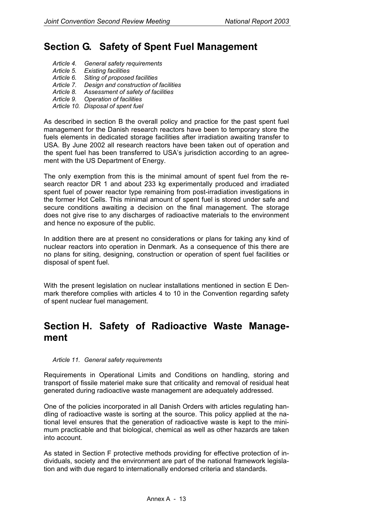### **Section G. Safety of Spent Fuel Management**

- *Article 4. General safety requirements*
- *Article 5. Existing facilities*
- *Article 6. Siting of proposed facilities*
- *Article 7. Design and construction of facilities*
- *Article 8. Assessment of safety of facilities*
- *Article 9. Operation of facilities*
- *Article 10. Disposal of spent fuel*

As described in section B the overall policy and practice for the past spent fuel management for the Danish research reactors have been to temporary store the fuels elements in dedicated storage facilities after irradiation awaiting transfer to USA. By June 2002 all research reactors have been taken out of operation and the spent fuel has been transferred to USA's jurisdiction according to an agreement with the US Department of Energy.

The only exemption from this is the minimal amount of spent fuel from the research reactor DR 1 and about 233 kg experimentally produced and irradiated spent fuel of power reactor type remaining from post-irradiation investigations in the former Hot Cells. This minimal amount of spent fuel is stored under safe and secure conditions awaiting a decision on the final management. The storage does not give rise to any discharges of radioactive materials to the environment and hence no exposure of the public.

In addition there are at present no considerations or plans for taking any kind of nuclear reactors into operation in Denmark. As a consequence of this there are no plans for siting, designing, construction or operation of spent fuel facilities or disposal of spent fuel.

With the present legislation on nuclear installations mentioned in section E Denmark therefore complies with articles 4 to 10 in the Convention regarding safety of spent nuclear fuel management.

### **Section H. Safety of Radioactive Waste Management**

#### *Article 11. General safety requirements*

Requirements in Operational Limits and Conditions on handling, storing and transport of fissile materiel make sure that criticality and removal of residual heat generated during radioactive waste management are adequately addressed.

One of the policies incorporated in all Danish Orders with articles regulating handling of radioactive waste is sorting at the source. This policy applied at the national level ensures that the generation of radioactive waste is kept to the minimum practicable and that biological, chemical as well as other hazards are taken into account.

As stated in Section F protective methods providing for effective protection of individuals, society and the environment are part of the national framework legislation and with due regard to internationally endorsed criteria and standards.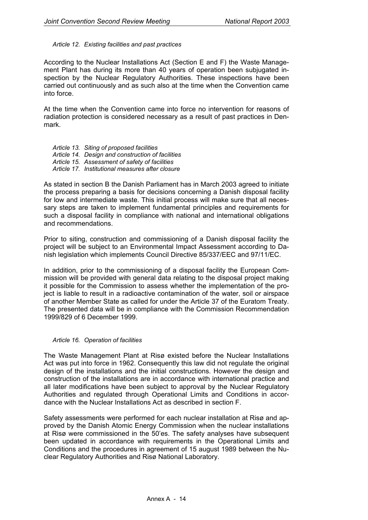#### *Article 12. Existing facilities and past practices*

According to the Nuclear Installations Act (Section E and F) the Waste Management Plant has during its more than 40 years of operation been subjugated inspection by the Nuclear Regulatory Authorities. These inspections have been carried out continuously and as such also at the time when the Convention came into force.

At the time when the Convention came into force no intervention for reasons of radiation protection is considered necessary as a result of past practices in Denmark.

- *Article 13. Siting of proposed facilities*
- *Article 14. Design and construction of facilities*
- *Article 15. Assessment of safety of facilities*
- *Article 17. Institutional measures after closure*

As stated in section B the Danish Parliament has in March 2003 agreed to initiate the process preparing a basis for decisions concerning a Danish disposal facility for low and intermediate waste. This initial process will make sure that all necessary steps are taken to implement fundamental principles and requirements for such a disposal facility in compliance with national and international obligations and recommendations.

Prior to siting, construction and commissioning of a Danish disposal facility the project will be subject to an Environmental Impact Assessment according to Danish legislation which implements Council Directive 85/337/EEC and 97/11/EC.

In addition, prior to the commissioning of a disposal facility the European Commission will be provided with general data relating to the disposal project making it possible for the Commission to assess whether the implementation of the project is liable to result in a radioactive contamination of the water, soil or airspace of another Member State as called for under the Article 37 of the Euratom Treaty. The presented data will be in compliance with the Commission Recommendation 1999/829 of 6 December 1999.

#### *Article 16. Operation of facilities*

The Waste Management Plant at Risø existed before the Nuclear Installations Act was put into force in 1962. Consequently this law did not regulate the original design of the installations and the initial constructions. However the design and construction of the installations are in accordance with international practice and all later modifications have been subject to approval by the Nuclear Regulatory Authorities and regulated through Operational Limits and Conditions in accordance with the Nuclear Installations Act as described in section F.

Safety assessments were performed for each nuclear installation at Risø and approved by the Danish Atomic Energy Commission when the nuclear installations at Risø were commissioned in the 50'es. The safety analyses have subsequent been updated in accordance with requirements in the Operational Limits and Conditions and the procedures in agreement of 15 august 1989 between the Nuclear Regulatory Authorities and Risø National Laboratory.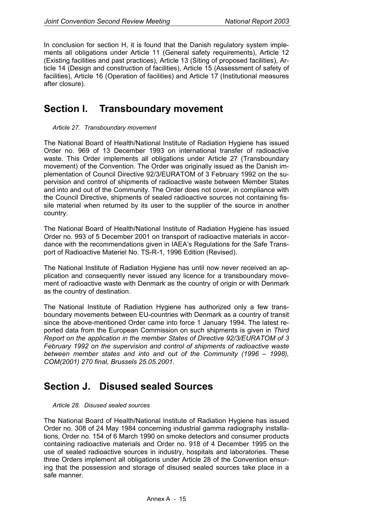In conclusion for section H, it is found that the Danish regulatory system implements all obligations under Article 11 (General safety requirements), Article 12 (Existing facilities and past practices), Article 13 (Siting of proposed facilities), Article 14 (Design and construction of facilities), Article 15 (Assessment of safety of facilities), Article 16 (Operation of facilities) and Article 17 (Institutional measures after closure).

### **Section I. Transboundary movement**

#### *Article 27. Transboundary movement*

The National Board of Health/National Institute of Radiation Hygiene has issued Order no. 969 of 13 December 1993 on international transfer of radioactive waste. This Order implements all obligations under Article 27 (Transboundary movement) of the Convention. The Order was originally issued as the Danish implementation of Council Directive 92/3/EURATOM of 3 February 1992 on the supervision and control of shipments of radioactive waste between Member States and into and out of the Community. The Order does not cover, in compliance with the Council Directive, shipments of sealed radioactive sources not containing fissile material when returned by its user to the supplier of the source in another country.

The National Board of Health/National Institute of Radiation Hygiene has issued Order no. 993 of 5 December 2001 on transport of radioactive materials in accordance with the recommendations given in IAEA's Regulations for the Safe Transport of Radioactive Materiel No. TS-R-1, 1996 Edition (Revised).

The National Institute of Radiation Hygiene has until now never received an application and consequently never issued any licence for a transboundary movement of radioactive waste with Denmark as the country of origin or with Denmark as the country of destination.

The National Institute of Radiation Hygiene has authorized only a few transboundary movements between EU-countries with Denmark as a country of transit since the above-mentioned Order came into force 1 January 1994. The latest reported data from the European Commission on such shipments is given in *Third Report on the application in the member States of Directive 92/3/EURATOM of 3 February 1992 on the supervision and control of shipments of radioactive waste between member states and into and out of the Community (1996 – 1998), COM(2001) 270 final, Brussels 25.05.2001.* 

### **Section J. Disused sealed Sources**

#### *Article 28. Disused sealed sources*

The National Board of Health/National Institute of Radiation Hygiene has issued Order no. 308 of 24 May 1984 concerning industrial gamma radiography installations, Order no. 154 of 6 March 1990 on smoke detectors and consumer products containing radioactive materials and Order no. 918 of 4 December 1995 on the use of sealed radioactive sources in industry, hospitals and laboratories. These three Orders implement all obligations under Article 28 of the Convention ensuring that the possession and storage of disused sealed sources take place in a safe manner.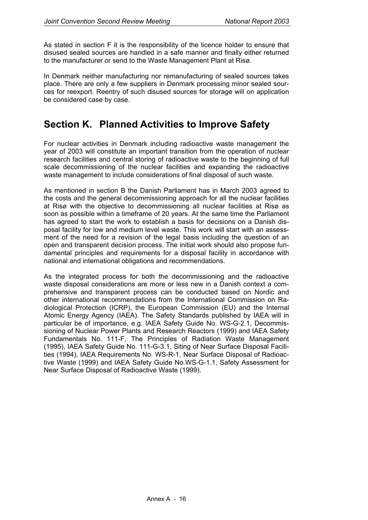As stated in section F it is the responsibility of the licence holder to ensure that disused sealed sources are handled in a safe manner and finally either returned to the manufacturer or send to the Waste Management Plant at Risø.

In Denmark neither manufacturing nor remanufacturing of sealed sources takes place. There are only a few suppliers in Denmark processing minor sealed sources for reexport. Reentry of such disused sources for storage will on application be considered case by case.

### **Section K. Planned Activities to Improve Safety**

For nuclear activities in Denmark including radioactive waste management the year of 2003 will constitute an important transition from the operation of nuclear research facilities and central storing of radioactive waste to the beginning of full scale decommissioning of the nuclear facilities and expanding the radioactive waste management to include considerations of final disposal of such waste.

As mentioned in section B the Danish Parliament has in March 2003 agreed to the costs and the general decommissioning approach for all the nuclear facilities at Risø with the objective to decommissioning all nuclear facilities at Risø as soon as possible within a timeframe of 20 years. At the same time the Parliament has agreed to start the work to establish a basis for decisions on a Danish disposal facility for low and medium level waste. This work will start with an assessment of the need for a revision of the legal basis including the question of an open and transparent decision process. The initial work should also propose fundamental principles and requirements for a disposal facility in accordance with national and international obligations and recommendations.

As the integrated process for both the decommissioning and the radioactive waste disposal considerations are more or less new in a Danish context a comprehensive and transparent process can be conducted based on Nordic and other international recommendations from the International Commission on Radiological Protection (ICRP), the European Commission (EU) and the Internal Atomic Energy Agency (IAEA). The Safety Standards published by IAEA will in particular be of importance, e.g. IAEA Safety Guide No. WS-G-2.1, Decommissioning of Nuclear Power Plants and Research Reactors (1999) and IAEA Safety Fundamentals No. 111-F, The Principles of Radiation Waste Management (1995), IAEA Safety Guide No. 111-G-3.1, Siting of Near Surface Disposal Facilities (1994), IAEA Requirements No. WS-R-1, Near Surface Disposal of Radioactive Waste (1999) and IAEA Safety Guide No.WS-G-1.1, Safety Assessment for Near Surface Disposal of Radioactive Waste (1999).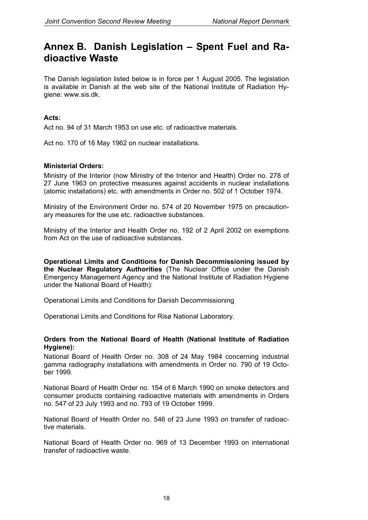### **Annex B. Danish Legislation – Spent Fuel and Radioactive Waste**

The Danish legislation listed below is in force per 1 August 2005. The legislation is available in Danish at the web site of the National Institute of Radiation Hygiene: www.sis.dk.

### **Acts:**

Act no. 94 of 31 March 1953 on use etc. of radioactive materials.

Act no. 170 of 16 May 1962 on nuclear installations.

### **Ministerial Orders:**

Ministry of the Interior (now Ministry of the Interior and Health) Order no. 278 of 27 June 1963 on protective measures against accidents in nuclear installations (atomic installations) etc. with amendments in Order no. 502 of 1 October 1974.

Ministry of the Environment Order no. 574 of 20 November 1975 on precautionary measures for the use etc. radioactive substances.

Ministry of the Interior and Health Order no. 192 of 2 April 2002 on exemptions from Act on the use of radioactive substances.

**Operational Limits and Conditions for Danish Decommissioning issued by the Nuclear Regulatory Authorities** (The Nuclear Office under the Danish Emergency Management Agency and the National Institute of Radiation Hygiene under the National Board of Health):

Operational Limits and Conditions for Danish Decommissioning

Operational Limits and Conditions for Risø National Laboratory.

### **Orders from the National Board of Health (National Institute of Radiation Hygiene):**

National Board of Health Order no. 308 of 24 May 1984 concerning industrial gamma radiography installations with amendments in Order no. 790 of 19 October 1999.

National Board of Health Order no. 154 of 6 March 1990 on smoke detectors and consumer products containing radioactive materials with amendments in Orders no. 547 of 23 July 1993 and no. 793 of 19 October 1999.

National Board of Health Order no. 546 of 23 June 1993 on transfer of radioactive materials.

National Board of Health Order no. 969 of 13 December 1993 on international transfer of radioactive waste.